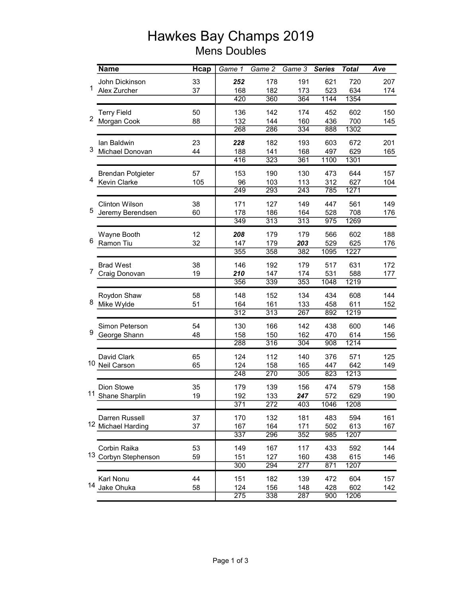## Hawkes Bay Champs 2019 Mens Doubles

|                | <b>Name</b>              | Hcap | Game $1$         | Game 2           | Game 3           | <b>Series</b> | <b>Total</b> | Ave |
|----------------|--------------------------|------|------------------|------------------|------------------|---------------|--------------|-----|
|                | John Dickinson           | 33   | 252              | 178              | 191              | 621           | 720          | 207 |
| 1              | Alex Zurcher             | 37   | 168              | 182              | 173              | 523           | 634          | 174 |
|                |                          |      | 420              | 360              | 364              | 1144          | 1354         |     |
| $\overline{c}$ | <b>Terry Field</b>       | 50   | 136              | 142              | 174              | 452           | 602          | 150 |
|                | Morgan Cook              | 88   | 132              | 144              | 160              | 436           | 700          | 145 |
|                |                          |      | 268              | 286              | 334              | 888           | 1302         |     |
|                | lan Baldwin              | 23   | 228              | 182              | 193              | 603           | 672          | 201 |
| 3              | Michael Donovan          | 44   | 188              | 141              | 168              | 497           | 629          | 165 |
|                |                          |      | 416              | 323              | 361              | 1100          | 1301         |     |
|                | <b>Brendan Potgieter</b> | 57   | 153              | 190              | 130              | 473           | 644          | 157 |
| 4              | Kevin Clarke             | 105  | 96               | 103              | 113              | 312           | 627          | 104 |
|                |                          |      | 249              | 293              | 243              | 785           | 1271         |     |
|                | <b>Clinton Wilson</b>    | 38   | 171              | 127              | 149              | 447           | 561          | 149 |
| 5              | Jeremy Berendsen         | 60   | 178              | 186              | 164              | 528           | 708          | 176 |
|                |                          |      | 349              | 313              | 313              | 975           | 1269         |     |
| 6              | Wayne Booth              | 12   | 208              | 179              | 179              | 566           | 602          | 188 |
|                | Ramon Tiu                | 32   | 147              | 179              | 203              | 529           | 625          | 176 |
|                |                          |      | 355              | 358              | 382              | 1095          | 1227         |     |
|                | <b>Brad West</b>         | 38   | 146              | 192              | 179              | 517           | 631          | 172 |
| $\overline{7}$ | Craig Donovan            | 19   | 210              | 147              | 174              | 531           | 588          | 177 |
|                |                          |      | 356              | 339              | 353              | 1048          | 1219         |     |
| 8              | Roydon Shaw              | 58   | 148              | 152              | 134              | 434           | 608          | 144 |
|                | Mike Wylde               | 51   | 164              | 161              | 133              | 458           | 611          | 152 |
|                |                          |      | $\overline{312}$ | $\overline{313}$ | 267              | 892           | 1219         |     |
|                | Simon Peterson           | 54   | 130              | 166              | 142              | 438           | 600          | 146 |
| 9              | George Shann             | 48   | 158              | 150              | 162              | 470           | 614          | 156 |
|                |                          |      | 288              | 316              | 304              | 908           | 1214         |     |
|                | David Clark              | 65   | 124              | 112              | 140              | 376           | 571          | 125 |
| 10             | <b>Neil Carson</b>       | 65   | 124              | 158              | 165              | 447           | 642          | 149 |
|                |                          |      | 248              | 270              | 305              | 823           | 1213         |     |
|                | Dion Stowe               | 35   | 179              | 139              | 156              | 474           | 579          | 158 |
|                | 11 Shane Sharplin        | 19   | 192              | 133              | 247              | 572           | 629          | 190 |
|                |                          |      | 371              | $\overline{272}$ | 403              | 1046          | 1208         |     |
|                | Darren Russell           | 37   | 170              | 132              | 181              | 483           | 594          | 161 |
|                | 12 Michael Harding       | 37   | 167              | 164              | 171              | 502           | 613          | 167 |
|                |                          |      | 337              | 296              | $\overline{352}$ | 985           | 1207         |     |
| 13             | Corbin Raika             | 53   | 149              | 167              | 117              | 433           | 592          | 144 |
|                | Corbyn Stephenson        | 59   | 151              | 127              | 160              | 438           | 615          | 146 |
|                |                          |      | 300              | 294              | $\overline{277}$ | 871           | 1207         |     |
|                | Karl Nonu                | 44   | 151              | 182              | 139              | 472           | 604          | 157 |
|                | 14 Jake Ohuka            | 58   | 124              | 156              | 148              | 428           | 602          | 142 |
|                |                          |      | $\overline{275}$ | 338              | 287              | 900           | 1206         |     |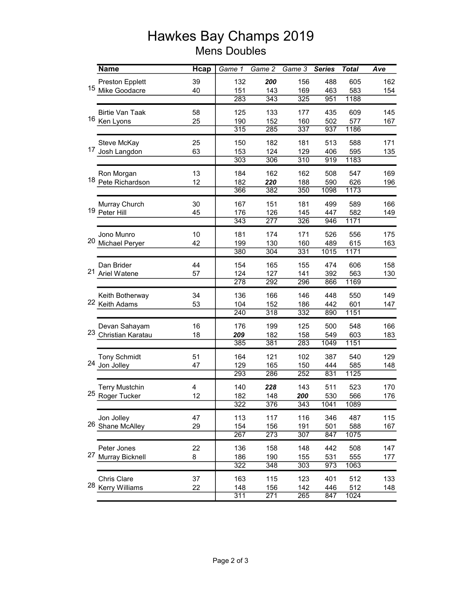## Hawkes Bay Champs 2019 Mens Doubles

|    | <b>Name</b>            | <b>Hcap</b> | Game 1           | Game 2           | Game 3           | <b>Series</b> | <b>Total</b> | Ave |
|----|------------------------|-------------|------------------|------------------|------------------|---------------|--------------|-----|
|    | <b>Preston Epplett</b> | 39          | 132              | 200              | 156              | 488           | 605          | 162 |
| 15 | Mike Goodacre          | 40          | 151              | 143              | 169              | 463           | 583          | 154 |
|    |                        |             | 283              | $\overline{343}$ | 325              | 951           | 1188         |     |
|    | <b>Birtie Van Taak</b> | 58          | 125              | 133              | 177              | 435           | 609          | 145 |
|    | 16 Ken Lyons           | 25          | 190              | 152              | 160              | 502           | 577          | 167 |
|    |                        |             | 315              | 285              | 337              | 937           | 1186         |     |
| 17 | Steve McKay            | 25          | 150              | 182              | 181              | 513           | 588          | 171 |
|    | Josh Langdon           | 63          | 153              | 124              | 129              | 406           | 595          | 135 |
|    |                        |             | 303              | 306              | 310              | 919           | 1183         |     |
|    | Ron Morgan             | 13          | 184              | 162              | 162              | 508           | 547          | 169 |
|    | 18 Pete Richardson     | 12          | 182              | 220              | 188              | 590           | 626          | 196 |
|    |                        |             | 366              | 382              | 350              | 1098          | 1173         |     |
| 19 | Murray Church          | 30          | 167              | 151              | 181              | 499           | 589          | 166 |
|    | Peter Hill             | 45          | 176              | 126              | 145              | 447           | 582          | 149 |
|    |                        |             | 343              | 277              | 326              | 946           | 1171         |     |
| 20 | Jono Munro             | 10          | 181              | 174              | 171              | 526           | 556          | 175 |
|    | Michael Peryer         | 42          | 199              | 130              | 160              | 489           | 615          | 163 |
|    |                        |             | 380              | $\overline{304}$ | 331              | 1015          | 1171         |     |
|    | Dan Brider             | 44          | 154              | 165              | 155              | 474           | 606          | 158 |
| 21 | Ariel Watene           | 57          | 124              | 127              | 141              | 392           | 563          | 130 |
|    |                        |             | 278              | 292              | 296              | 866           | 1169         |     |
|    | Keith Botherway        | 34          | 136              | 166              | 146              | 448           | 550          | 149 |
|    | 22 Keith Adams         | 53          | 104              | 152              | 186              | 442           | 601          | 147 |
|    |                        |             | 240              | 318              | 332              | 890           | 1151         |     |
|    | Devan Sahayam          | 16          | 176              | 199              | 125              | 500           | 548          | 166 |
| 23 | Christian Karatau      | 18          | 209              | 182              | 158              | 549           | 603          | 183 |
|    |                        |             | 385              | 381              | 283              | 1049          | 1151         |     |
|    | <b>Tony Schmidt</b>    | 51          | 164              | 121              | 102              | 387           | 540          | 129 |
| 24 | Jon Jolley             | 47          | 129              | 165              | 150              | 444           | 585          | 148 |
|    |                        |             | 293              | 286              | 252              | 831           | 1125         |     |
|    | <b>Terry Mustchin</b>  | 4           | 140              | 228              | 143              | 511           | 523          | 170 |
|    | 25 Roger Tucker        | 12          | 182              | 148              | 200              | 530           | 566          | 176 |
|    |                        |             | $\overline{322}$ | 376              | 343              | 1041          | 1089         |     |
|    | Jon Jolley             | 47          | 113              | 117              | 116              | 346           | 487          | 115 |
|    | 26 Shane McAlley       | 29          | 154              | 156              | 191              | 501           | 588          | 167 |
|    |                        |             | 267              | 273              | $\overline{307}$ | 847           | 1075         |     |
|    | Peter Jones            | 22          | 136              | 158              | 148              | 442           | 508          | 147 |
| 27 | Murray Bicknell        | 8           | 186              | 190              | 155              | 531           | 555          | 177 |
|    |                        |             | 322              | 348              | 303              | 973           | 1063         |     |
|    | Chris Clare            | 37          | 163              | 115              | 123              | 401           | 512          | 133 |
|    | 28 Kerry Williams      | 22          | 148              | 156              | 142              | 446           | 512          | 148 |
|    |                        |             | $\overline{311}$ | 271              | 265              | 847           | 1024         |     |